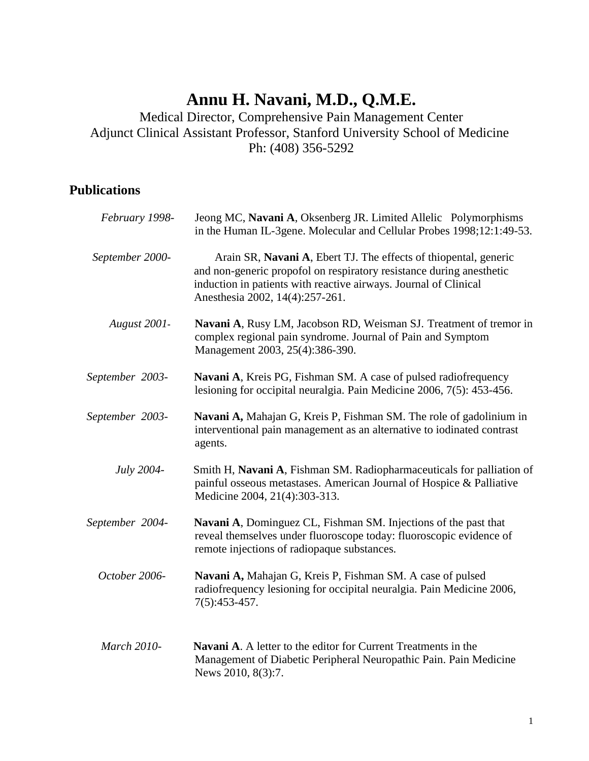## **Annu H. Navani, M.D., Q.M.E.**

Medical Director, Comprehensive Pain Management Center Adjunct Clinical Assistant Professor, Stanford University School of Medicine Ph: (408) 356-5292

## **Publications**

| February 1998-  | Jeong MC, Navani A, Oksenberg JR. Limited Allelic Polymorphisms<br>in the Human IL-3gene. Molecular and Cellular Probes 1998;12:1:49-53.                                                                                                        |
|-----------------|-------------------------------------------------------------------------------------------------------------------------------------------------------------------------------------------------------------------------------------------------|
| September 2000- | Arain SR, Navani A, Ebert TJ. The effects of thiopental, generic<br>and non-generic propofol on respiratory resistance during anesthetic<br>induction in patients with reactive airways. Journal of Clinical<br>Anesthesia 2002, 14(4):257-261. |
| August 2001-    | Navani A, Rusy LM, Jacobson RD, Weisman SJ. Treatment of tremor in<br>complex regional pain syndrome. Journal of Pain and Symptom<br>Management 2003, 25(4):386-390.                                                                            |
| September 2003- | Navani A, Kreis PG, Fishman SM. A case of pulsed radiofrequency<br>lesioning for occipital neuralgia. Pain Medicine 2006, 7(5): 453-456.                                                                                                        |
| September 2003- | Navani A, Mahajan G, Kreis P, Fishman SM. The role of gadolinium in<br>interventional pain management as an alternative to iodinated contrast<br>agents.                                                                                        |
| July 2004-      | Smith H, Navani A, Fishman SM. Radiopharmaceuticals for palliation of<br>painful osseous metastases. American Journal of Hospice & Palliative<br>Medicine 2004, 21(4):303-313.                                                                  |
| September 2004- | Navani A, Dominguez CL, Fishman SM. Injections of the past that<br>reveal themselves under fluoroscope today: fluoroscopic evidence of<br>remote injections of radiopaque substances.                                                           |
| October 2006-   | Navani A, Mahajan G, Kreis P, Fishman SM. A case of pulsed<br>radiofrequency lesioning for occipital neuralgia. Pain Medicine 2006,<br>7(5):453-457.                                                                                            |
| March 2010-     | Navani A. A letter to the editor for Current Treatments in the<br>Management of Diabetic Peripheral Neuropathic Pain. Pain Medicine<br>News 2010, 8(3):7.                                                                                       |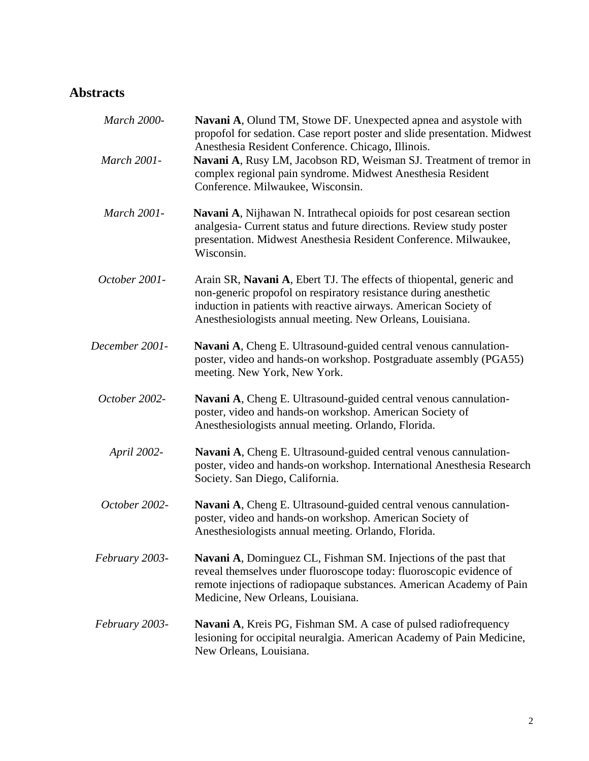## **Abstracts**

| March 2000-    | Navani A, Olund TM, Stowe DF. Unexpected apnea and asystole with<br>propofol for sedation. Case report poster and slide presentation. Midwest<br>Anesthesia Resident Conference. Chicago, Illinois.                                                                       |
|----------------|---------------------------------------------------------------------------------------------------------------------------------------------------------------------------------------------------------------------------------------------------------------------------|
| March 2001-    | Navani A, Rusy LM, Jacobson RD, Weisman SJ. Treatment of tremor in<br>complex regional pain syndrome. Midwest Anesthesia Resident<br>Conference. Milwaukee, Wisconsin.                                                                                                    |
| March 2001-    | Navani A, Nijhawan N. Intrathecal opioids for post cesarean section<br>analgesia- Current status and future directions. Review study poster<br>presentation. Midwest Anesthesia Resident Conference. Milwaukee,<br>Wisconsin.                                             |
| October 2001-  | Arain SR, Navani A, Ebert TJ. The effects of thiopental, generic and<br>non-generic propofol on respiratory resistance during anesthetic<br>induction in patients with reactive airways. American Society of<br>Anesthesiologists annual meeting. New Orleans, Louisiana. |
| December 2001- | Navani A, Cheng E. Ultrasound-guided central venous cannulation-<br>poster, video and hands-on workshop. Postgraduate assembly (PGA55)<br>meeting. New York, New York.                                                                                                    |
| October 2002-  | Navani A, Cheng E. Ultrasound-guided central venous cannulation-<br>poster, video and hands-on workshop. American Society of<br>Anesthesiologists annual meeting. Orlando, Florida.                                                                                       |
| April 2002-    | Navani A, Cheng E. Ultrasound-guided central venous cannulation-<br>poster, video and hands-on workshop. International Anesthesia Research<br>Society. San Diego, California.                                                                                             |
| October 2002-  | Navani A, Cheng E. Ultrasound-guided central venous cannulation-<br>poster, video and hands-on workshop. American Society of<br>Anesthesiologists annual meeting. Orlando, Florida.                                                                                       |
| February 2003- | Navani A, Dominguez CL, Fishman SM. Injections of the past that<br>reveal themselves under fluoroscope today: fluoroscopic evidence of<br>remote injections of radiopaque substances. American Academy of Pain<br>Medicine, New Orleans, Louisiana.                       |
| February 2003- | <b>Navani A, Kreis PG, Fishman SM. A case of pulsed radiofrequency</b><br>lesioning for occipital neuralgia. American Academy of Pain Medicine,<br>New Orleans, Louisiana.                                                                                                |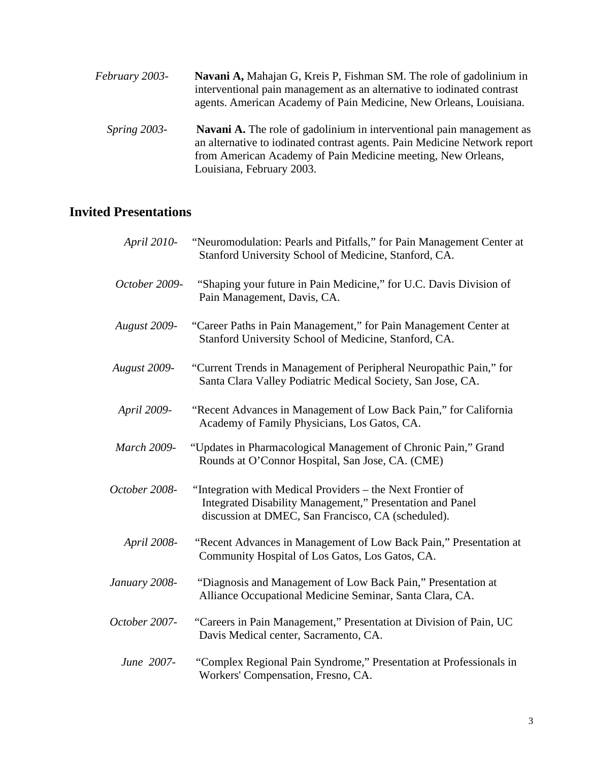| February 2003- | Navani A, Mahajan G, Kreis P, Fishman SM. The role of gadolinium in<br>interventional pain management as an alternative to iodinated contrast<br>agents. American Academy of Pain Medicine, New Orleans, Louisiana.                                    |
|----------------|--------------------------------------------------------------------------------------------------------------------------------------------------------------------------------------------------------------------------------------------------------|
| Spring 2003-   | <b>Navani A.</b> The role of gadolinium in interventional pain management as<br>an alternative to iodinated contrast agents. Pain Medicine Network report<br>from American Academy of Pain Medicine meeting, New Orleans,<br>Louisiana, February 2003. |

## **Invited Presentations**

| April 2010-         | "Neuromodulation: Pearls and Pitfalls," for Pain Management Center at<br>Stanford University School of Medicine, Stanford, CA.                                                |
|---------------------|-------------------------------------------------------------------------------------------------------------------------------------------------------------------------------|
| October 2009-       | "Shaping your future in Pain Medicine," for U.C. Davis Division of<br>Pain Management, Davis, CA.                                                                             |
| <b>August 2009-</b> | "Career Paths in Pain Management," for Pain Management Center at<br>Stanford University School of Medicine, Stanford, CA.                                                     |
| August 2009-        | "Current Trends in Management of Peripheral Neuropathic Pain," for<br>Santa Clara Valley Podiatric Medical Society, San Jose, CA.                                             |
| April 2009-         | "Recent Advances in Management of Low Back Pain," for California<br>Academy of Family Physicians, Los Gatos, CA.                                                              |
| March 2009-         | "Updates in Pharmacological Management of Chronic Pain," Grand<br>Rounds at O'Connor Hospital, San Jose, CA. (CME)                                                            |
| October 2008-       | "Integration with Medical Providers - the Next Frontier of<br>Integrated Disability Management," Presentation and Panel<br>discussion at DMEC, San Francisco, CA (scheduled). |
| April 2008-         | "Recent Advances in Management of Low Back Pain," Presentation at<br>Community Hospital of Los Gatos, Los Gatos, CA.                                                          |
| January 2008-       | "Diagnosis and Management of Low Back Pain," Presentation at<br>Alliance Occupational Medicine Seminar, Santa Clara, CA.                                                      |
| October 2007-       | "Careers in Pain Management," Presentation at Division of Pain, UC<br>Davis Medical center, Sacramento, CA.                                                                   |
| June 2007-          | "Complex Regional Pain Syndrome," Presentation at Professionals in<br>Workers' Compensation, Fresno, CA.                                                                      |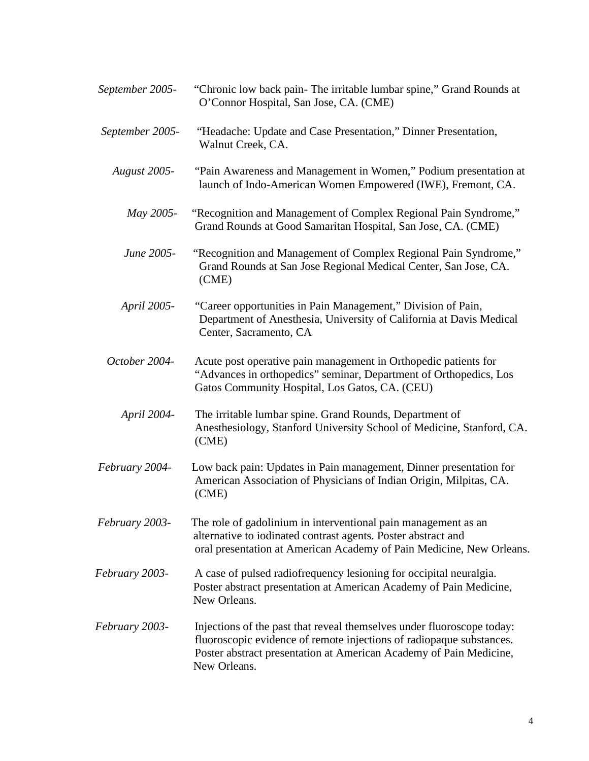*September 2005-* "Chronic low back pain- The irritable lumbar spine," Grand Rounds at O'Connor Hospital, San Jose, CA. (CME)  *September 2005-* "Headache: Update and Case Presentation," Dinner Presentation, Walnut Creek, CA.  *August 2005-* "Pain Awareness and Management in Women," Podium presentation at launch of Indo-American Women Empowered (IWE), Fremont, CA.  *May 2005-* "Recognition and Management of Complex Regional Pain Syndrome," Grand Rounds at Good Samaritan Hospital, San Jose, CA. (CME)  *June 2005-* "Recognition and Management of Complex Regional Pain Syndrome," Grand Rounds at San Jose Regional Medical Center, San Jose, CA. (CME)  *April 2005-* "Career opportunities in Pain Management," Division of Pain, Department of Anesthesia, University of California at Davis Medical Center, Sacramento, CA *October 2004-* Acute post operative pain management in Orthopedic patients for "Advances in orthopedics" seminar, Department of Orthopedics, Los Gatos Community Hospital, Los Gatos, CA. (CEU)  *April 2004-* The irritable lumbar spine. Grand Rounds, Department of Anesthesiology, Stanford University School of Medicine, Stanford, CA. (CME) *February 2004-* Low back pain: Updates in Pain management, Dinner presentation for American Association of Physicians of Indian Origin, Milpitas, CA. (CME)  *February 2003-* The role of gadolinium in interventional pain management as an alternative to iodinated contrast agents. Poster abstract and oral presentation at American Academy of Pain Medicine, New Orleans.  *February 2003-* A case of pulsed radiofrequency lesioning for occipital neuralgia. Poster abstract presentation at American Academy of Pain Medicine, New Orleans.  *February 2003-* Injections of the past that reveal themselves under fluoroscope today: fluoroscopic evidence of remote injections of radiopaque substances. Poster abstract presentation at American Academy of Pain Medicine, New Orleans.